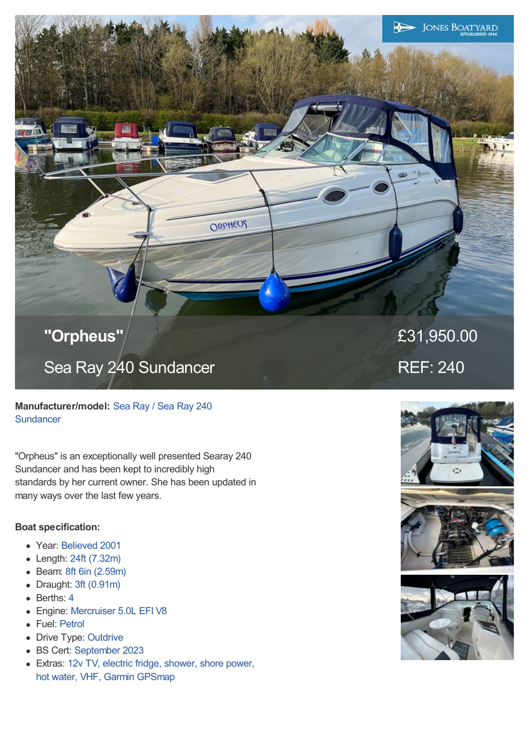

ORPHEUS

**Manufacturer/model:** Sea Ray / Sea Ray 240 **Sundancer** 

"Orpheus" is an exceptionally well presented Searay 240 Sundancer and has been kept to incredibly high standards by her current owner. She has been updated in many ways over the last few years.

# **Boat specification:**

- Year: Believed 2001
- Length: 24ft (7.32m)  $\bullet$
- Beam: 8ft 6in (2.59m)  $\bullet$
- Draught: 3ft (0.91m)
- Berths: 4
- Engine: Mercruiser 5.0L EFI V8
- Fuel: Petrol
- Drive Type: Outdrive
- BS Cert: September 2023
- Extras: 12v TV, electric fridge, shower, shore power, hot water, VHF, Garmin GPSmap

£31,950.00 REF: 240

 $\blacktriangleright$ 

**JONES BOATYARD**